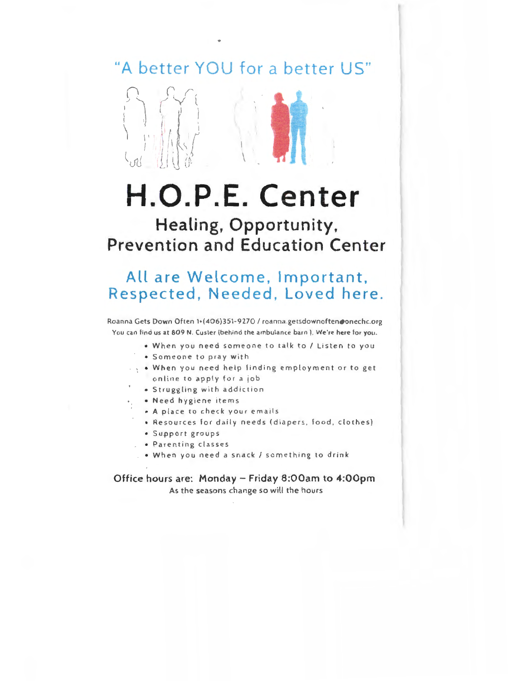#### **"A bette r YOU for a better US"**



# **H.0.P.E. Center**

#### **Healing, Opportunity, Prevention and Education Center**

#### **All are Welcome, Important, Respected, Needed, Loved here.**

Roanna Gets Down Often 1+(406)351-9270 / roanna.getsdownoften@onechc.org You can find us at 809 **N.** Custer (behind the ambulance barn). We 're here for you.

- When you need someone to talk to / Listen to you
- Someone to pray with
- When you need help finding employme nt or to get online to apply for a job
- Struggling with addiction
- Need hygiene items
- **A** place to check your emails
- Resources for daily needs (diapers, food, clothes)
- Support groups
- Parenting classes
- When you need a snack/ something to drink

**Office hours are: Monday - Friday 8:00am to 4:00pm**  As the seasons change so will the hours